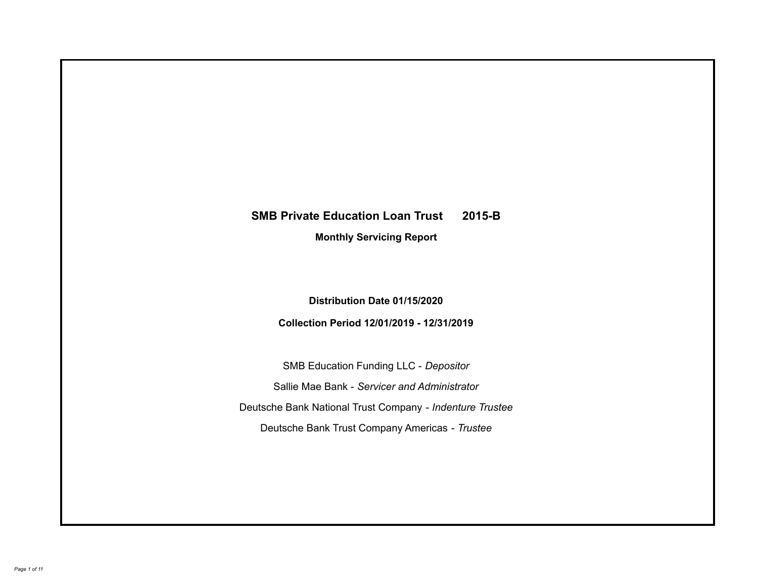# **SMB Private Education Loan Trust 2015-B Monthly Servicing Report**

# **Distribution Date 01/15/2020**

# **Collection Period 12/01/2019 - 12/31/2019**

SMB Education Funding LLC - *Depositor* Sallie Mae Bank - *Servicer and Administrator* Deutsche Bank National Trust Company - *Indenture Trustee* Deutsche Bank Trust Company Americas - *Trustee*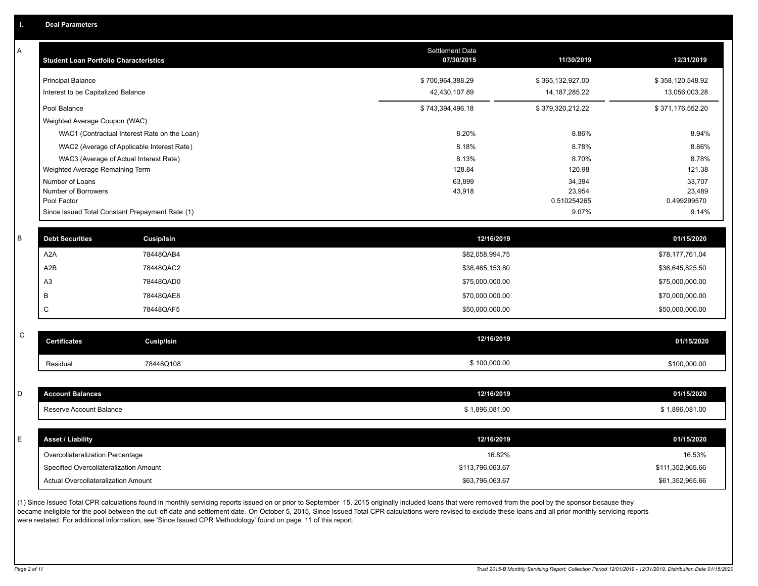A

| Α           | <b>Student Loan Portfolio Characteristics</b> |                                                 | Settlement Date<br>07/30/2015 | 11/30/2019            | 12/31/2019            |
|-------------|-----------------------------------------------|-------------------------------------------------|-------------------------------|-----------------------|-----------------------|
|             | <b>Principal Balance</b>                      |                                                 | \$700,964,388.29              | \$365,132,927.00      | \$358,120,548.92      |
|             | Interest to be Capitalized Balance            |                                                 | 42,430,107.89                 | 14, 187, 285. 22      | 13,056,003.28         |
|             | Pool Balance                                  |                                                 | \$743,394,496.18              | \$379,320,212.22      | \$371,176,552.20      |
|             | Weighted Average Coupon (WAC)                 |                                                 |                               |                       |                       |
|             |                                               | WAC1 (Contractual Interest Rate on the Loan)    | 8.20%                         | 8.86%                 | 8.94%                 |
|             |                                               | WAC2 (Average of Applicable Interest Rate)      | 8.18%                         | 8.78%                 | 8.86%                 |
|             |                                               | WAC3 (Average of Actual Interest Rate)          | 8.13%                         | 8.70%                 | 8.78%                 |
|             | Weighted Average Remaining Term               |                                                 | 128.84                        | 120.98                | 121.38                |
|             | Number of Loans                               |                                                 | 63,899                        | 34,394                | 33,707                |
|             | Number of Borrowers<br>Pool Factor            |                                                 | 43,918                        | 23,954<br>0.510254265 | 23,489<br>0.499299570 |
|             |                                               | Since Issued Total Constant Prepayment Rate (1) |                               | 9.07%                 | 9.14%                 |
| B           | <b>Debt Securities</b>                        | <b>Cusip/Isin</b>                               | 12/16/2019                    |                       | 01/15/2020            |
|             | A <sub>2</sub> A                              | 78448QAB4                                       | \$82,058,994.75               |                       | \$78,177,761.04       |
|             | A2B                                           | 78448QAC2                                       | \$38,465,153.80               |                       | \$36,645,825.50       |
|             | A <sub>3</sub>                                | 78448QAD0                                       | \$75,000,000.00               |                       | \$75,000,000.00       |
|             | B                                             | 78448QAE8                                       | \$70,000,000.00               |                       | \$70,000,000.00       |
|             | C                                             | 78448QAF5                                       | \$50,000,000.00               |                       | \$50,000,000.00       |
| $\mathsf C$ |                                               |                                                 |                               |                       |                       |
|             | <b>Certificates</b>                           | <b>Cusip/Isin</b>                               | 12/16/2019                    |                       | 01/15/2020            |
|             | Residual                                      | 78448Q108                                       | \$100,000.00                  |                       | \$100,000.00          |
|             |                                               |                                                 |                               |                       |                       |
| D           | <b>Account Balances</b>                       |                                                 | 12/16/2019                    |                       | 01/15/2020            |
|             | Reserve Account Balance                       |                                                 | \$1,896,081.00                |                       | \$1,896,081.00        |
|             |                                               |                                                 |                               |                       |                       |
| E           | <b>Asset / Liability</b>                      |                                                 | 12/16/2019                    |                       | 01/15/2020            |
|             | Overcollateralization Percentage              |                                                 | 16.82%                        |                       | 16.53%                |
|             | Specified Overcollateralization Amount        |                                                 | \$113,796,063.67              |                       | \$111,352,965.66      |
|             | Actual Overcollateralization Amount           |                                                 | \$63,796,063.67               |                       | \$61,352,965.66       |

(1) Since Issued Total CPR calculations found in monthly servicing reports issued on or prior to September 15, 2015 originally included loans that were removed from the pool by the sponsor because they .<br>became ineligible for the pool between the cut-off date and settlement date. On October 5, 2015, Since Issued Total CPR calculations were revised to exclude these loans and all prior monthly servicing reports were restated. For additional information, see 'Since Issued CPR Methodology' found on page 11 of this report.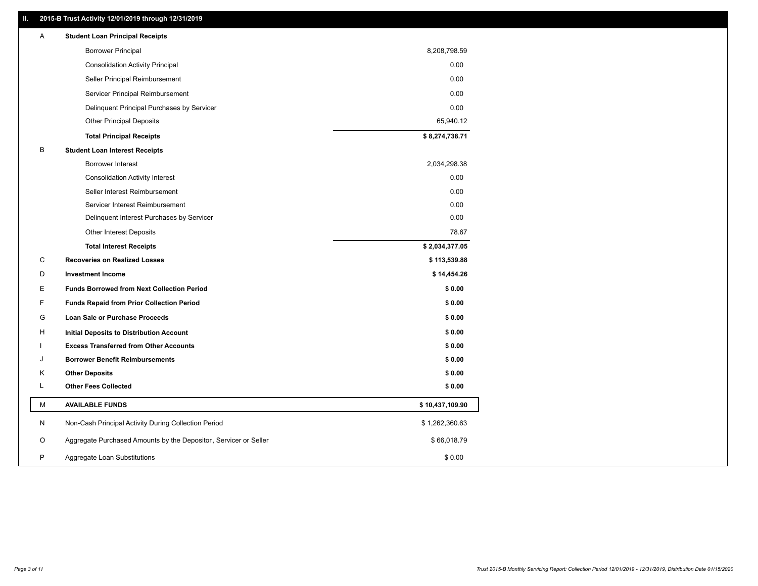## **II. 2015-B Trust Activity 12/01/2019 through 12/31/2019**

| A | <b>Student Loan Principal Receipts</b>                           |                 |  |
|---|------------------------------------------------------------------|-----------------|--|
|   | <b>Borrower Principal</b>                                        | 8,208,798.59    |  |
|   | <b>Consolidation Activity Principal</b>                          | 0.00            |  |
|   | Seller Principal Reimbursement                                   | 0.00            |  |
|   | Servicer Principal Reimbursement                                 | 0.00            |  |
|   | Delinquent Principal Purchases by Servicer                       | 0.00            |  |
|   | <b>Other Principal Deposits</b>                                  | 65,940.12       |  |
|   | <b>Total Principal Receipts</b>                                  | \$8,274,738.71  |  |
| B | <b>Student Loan Interest Receipts</b>                            |                 |  |
|   | <b>Borrower Interest</b>                                         | 2,034,298.38    |  |
|   | <b>Consolidation Activity Interest</b>                           | 0.00            |  |
|   | Seller Interest Reimbursement                                    | 0.00            |  |
|   | Servicer Interest Reimbursement                                  | 0.00            |  |
|   | Delinquent Interest Purchases by Servicer                        | 0.00            |  |
|   | <b>Other Interest Deposits</b>                                   | 78.67           |  |
|   | <b>Total Interest Receipts</b>                                   | \$2,034,377.05  |  |
| C | <b>Recoveries on Realized Losses</b>                             | \$113,539.88    |  |
| D | <b>Investment Income</b>                                         | \$14,454.26     |  |
| Е | <b>Funds Borrowed from Next Collection Period</b>                | \$0.00          |  |
| F | <b>Funds Repaid from Prior Collection Period</b>                 | \$0.00          |  |
| G | Loan Sale or Purchase Proceeds                                   | \$0.00          |  |
| н | <b>Initial Deposits to Distribution Account</b>                  | \$0.00          |  |
|   | <b>Excess Transferred from Other Accounts</b>                    | \$0.00          |  |
| J | <b>Borrower Benefit Reimbursements</b>                           | \$0.00          |  |
| Κ | <b>Other Deposits</b>                                            | \$0.00          |  |
| L | <b>Other Fees Collected</b>                                      | \$0.00          |  |
| М | <b>AVAILABLE FUNDS</b>                                           | \$10,437,109.90 |  |
| N | Non-Cash Principal Activity During Collection Period             | \$1,262,360.63  |  |
| O | Aggregate Purchased Amounts by the Depositor, Servicer or Seller | \$66,018.79     |  |
| P | Aggregate Loan Substitutions                                     | \$0.00          |  |
|   |                                                                  |                 |  |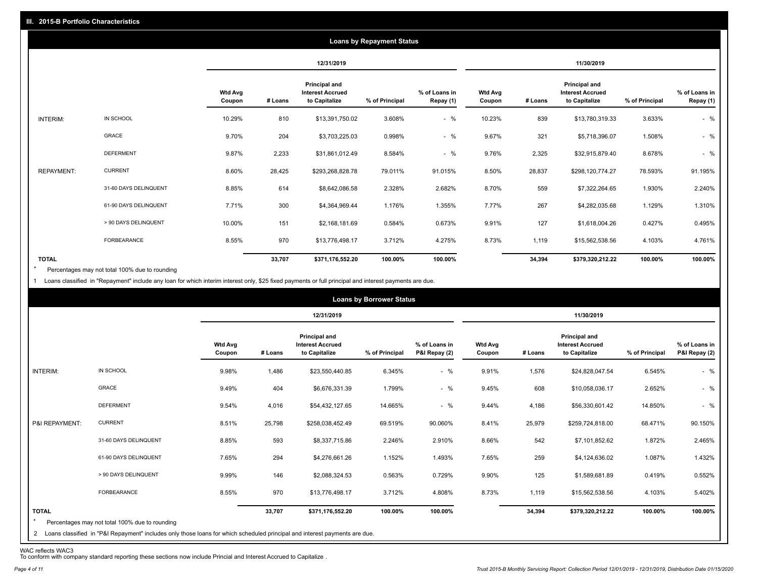|                   | <b>Loans by Repayment Status</b> |                          |            |                                                           |                |                            |                          |         |                                                           |                |                            |
|-------------------|----------------------------------|--------------------------|------------|-----------------------------------------------------------|----------------|----------------------------|--------------------------|---------|-----------------------------------------------------------|----------------|----------------------------|
|                   |                                  |                          | 12/31/2019 |                                                           |                | 11/30/2019                 |                          |         |                                                           |                |                            |
|                   |                                  | <b>Wtd Avg</b><br>Coupon | # Loans    | Principal and<br><b>Interest Accrued</b><br>to Capitalize | % of Principal | % of Loans in<br>Repay (1) | <b>Wtd Avg</b><br>Coupon | # Loans | Principal and<br><b>Interest Accrued</b><br>to Capitalize | % of Principal | % of Loans in<br>Repay (1) |
| INTERIM:          | IN SCHOOL                        | 10.29%                   | 810        | \$13,391,750.02                                           | 3.608%         | $-$ %                      | 10.23%                   | 839     | \$13,780,319.33                                           | 3.633%         | $-$ %                      |
|                   | <b>GRACE</b>                     | 9.70%                    | 204        | \$3,703,225.03                                            | 0.998%         | $-$ %                      | 9.67%                    | 321     | \$5,718,396.07                                            | 1.508%         | $-$ %                      |
|                   | <b>DEFERMENT</b>                 | 9.87%                    | 2,233      | \$31,861,012.49                                           | 8.584%         | $-$ %                      | 9.76%                    | 2,325   | \$32,915,879.40                                           | 8.678%         | $-$ %                      |
| <b>REPAYMENT:</b> | <b>CURRENT</b>                   | 8.60%                    | 28,425     | \$293,268,828.78                                          | 79.011%        | 91.015%                    | 8.50%                    | 28,837  | \$298,120,774.27                                          | 78.593%        | 91.195%                    |
|                   | 31-60 DAYS DELINQUENT            | 8.85%                    | 614        | \$8,642,086.58                                            | 2.328%         | 2.682%                     | 8.70%                    | 559     | \$7,322,264.65                                            | 1.930%         | 2.240%                     |
|                   | 61-90 DAYS DELINQUENT            | 7.71%                    | 300        | \$4,364,969.44                                            | 1.176%         | 1.355%                     | 7.77%                    | 267     | \$4,282,035.68                                            | 1.129%         | 1.310%                     |
|                   | > 90 DAYS DELINQUENT             | 10.00%                   | 151        | \$2,168,181.69                                            | 0.584%         | 0.673%                     | 9.91%                    | 127     | \$1,618,004.26                                            | 0.427%         | 0.495%                     |
|                   | FORBEARANCE                      | 8.55%                    | 970        | \$13,776,498.17                                           | 3.712%         | 4.275%                     | 8.73%                    | 1,119   | \$15,562,538.56                                           | 4.103%         | 4.761%                     |
| <b>TOTAL</b>      |                                  |                          | 33,707     | \$371,176,552.20                                          | 100.00%        | 100.00%                    |                          | 34,394  | \$379,320,212.22                                          | 100.00%        | 100.00%                    |

Percentages may not total 100% due to rounding  $\star$ 

1 Loans classified in "Repayment" include any loan for which interim interest only, \$25 fixed payments or full principal and interest payments are due.

|                         |                                                                                                                                                                                |                          |         |                                                           | <b>Loans by Borrower Status</b> |                                |                          |            |                                                                  |                |                                |
|-------------------------|--------------------------------------------------------------------------------------------------------------------------------------------------------------------------------|--------------------------|---------|-----------------------------------------------------------|---------------------------------|--------------------------------|--------------------------|------------|------------------------------------------------------------------|----------------|--------------------------------|
|                         |                                                                                                                                                                                |                          |         | 12/31/2019                                                |                                 |                                |                          | 11/30/2019 |                                                                  |                |                                |
|                         |                                                                                                                                                                                | <b>Wtd Avg</b><br>Coupon | # Loans | Principal and<br><b>Interest Accrued</b><br>to Capitalize | % of Principal                  | % of Loans in<br>P&I Repay (2) | <b>Wtd Avg</b><br>Coupon | # Loans    | <b>Principal and</b><br><b>Interest Accrued</b><br>to Capitalize | % of Principal | % of Loans in<br>P&I Repay (2) |
| INTERIM:                | IN SCHOOL                                                                                                                                                                      | 9.98%                    | 1,486   | \$23,550,440.85                                           | 6.345%                          | $-$ %                          | 9.91%                    | 1,576      | \$24,828,047.54                                                  | 6.545%         | $-$ %                          |
|                         | GRACE                                                                                                                                                                          | 9.49%                    | 404     | \$6,676,331.39                                            | 1.799%                          | $-$ %                          | 9.45%                    | 608        | \$10,058,036.17                                                  | 2.652%         | $-$ %                          |
|                         | <b>DEFERMENT</b>                                                                                                                                                               | 9.54%                    | 4,016   | \$54,432,127.65                                           | 14.665%                         | $-$ %                          | 9.44%                    | 4,186      | \$56,330,601.42                                                  | 14.850%        | $-$ %                          |
| P&I REPAYMENT:          | <b>CURRENT</b>                                                                                                                                                                 | 8.51%                    | 25,798  | \$258,038,452.49                                          | 69.519%                         | 90.060%                        | 8.41%                    | 25,979     | \$259,724,818.00                                                 | 68.471%        | 90.150%                        |
|                         | 31-60 DAYS DELINQUENT                                                                                                                                                          | 8.85%                    | 593     | \$8,337,715.86                                            | 2.246%                          | 2.910%                         | 8.66%                    | 542        | \$7,101,852.62                                                   | 1.872%         | 2.465%                         |
|                         | 61-90 DAYS DELINQUENT                                                                                                                                                          | 7.65%                    | 294     | \$4,276,661.26                                            | 1.152%                          | 1.493%                         | 7.65%                    | 259        | \$4,124,636.02                                                   | 1.087%         | 1.432%                         |
|                         | > 90 DAYS DELINQUENT                                                                                                                                                           | 9.99%                    | 146     | \$2,088,324.53                                            | 0.563%                          | 0.729%                         | 9.90%                    | 125        | \$1,589,681.89                                                   | 0.419%         | 0.552%                         |
|                         | <b>FORBEARANCE</b>                                                                                                                                                             | 8.55%                    | 970     | \$13,776,498.17                                           | 3.712%                          | 4.808%                         | 8.73%                    | 1,119      | \$15,562,538.56                                                  | 4.103%         | 5.402%                         |
| <b>TOTAL</b><br>$\star$ | Percentages may not total 100% due to rounding<br>2 Loans classified in "P&I Repayment" includes only those loans for which scheduled principal and interest payments are due. |                          | 33,707  | \$371,176,552.20                                          | 100.00%                         | 100.00%                        |                          | 34,394     | \$379,320,212.22                                                 | 100.00%        | 100.00%                        |

WAC reflects WAC3 To conform with company standard reporting these sections now include Princial and Interest Accrued to Capitalize .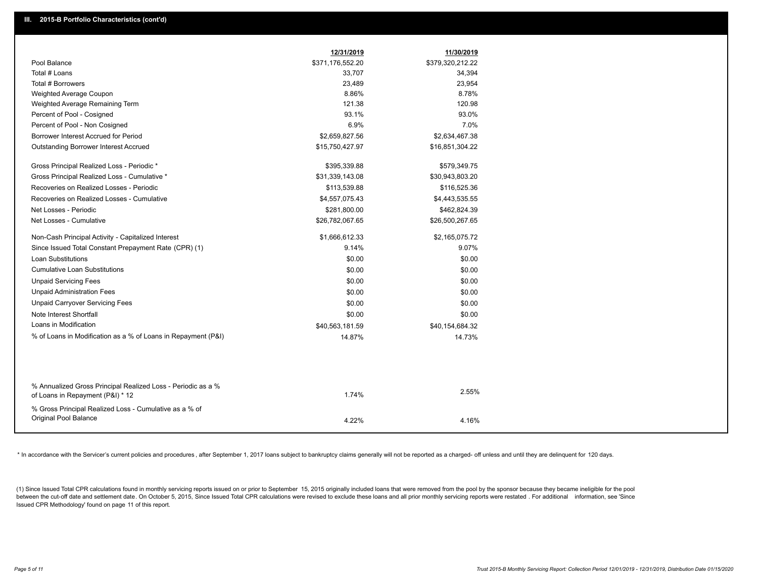|                                                                                                  | 12/31/2019       | 11/30/2019       |
|--------------------------------------------------------------------------------------------------|------------------|------------------|
| Pool Balance                                                                                     | \$371,176,552.20 | \$379,320,212.22 |
| Total # Loans                                                                                    | 33,707           | 34,394           |
| Total # Borrowers                                                                                | 23,489           | 23,954           |
| Weighted Average Coupon                                                                          | 8.86%            | 8.78%            |
| Weighted Average Remaining Term                                                                  | 121.38           | 120.98           |
| Percent of Pool - Cosigned                                                                       | 93.1%            | 93.0%            |
| Percent of Pool - Non Cosigned                                                                   | 6.9%             | 7.0%             |
| Borrower Interest Accrued for Period                                                             | \$2,659,827.56   | \$2,634,467.38   |
| Outstanding Borrower Interest Accrued                                                            | \$15,750,427.97  | \$16,851,304.22  |
| Gross Principal Realized Loss - Periodic *                                                       | \$395,339.88     | \$579,349.75     |
| Gross Principal Realized Loss - Cumulative *                                                     | \$31,339,143.08  | \$30,943,803.20  |
| Recoveries on Realized Losses - Periodic                                                         | \$113,539.88     | \$116,525.36     |
| Recoveries on Realized Losses - Cumulative                                                       | \$4,557,075.43   | \$4,443,535.55   |
| Net Losses - Periodic                                                                            | \$281,800.00     | \$462,824.39     |
| Net Losses - Cumulative                                                                          | \$26,782,067.65  | \$26,500,267.65  |
| Non-Cash Principal Activity - Capitalized Interest                                               | \$1,666,612.33   | \$2,165,075.72   |
| Since Issued Total Constant Prepayment Rate (CPR) (1)                                            | 9.14%            | 9.07%            |
| Loan Substitutions                                                                               | \$0.00           | \$0.00           |
| <b>Cumulative Loan Substitutions</b>                                                             | \$0.00           | \$0.00           |
| <b>Unpaid Servicing Fees</b>                                                                     | \$0.00           | \$0.00           |
| <b>Unpaid Administration Fees</b>                                                                | \$0.00           | \$0.00           |
| <b>Unpaid Carryover Servicing Fees</b>                                                           | \$0.00           | \$0.00           |
| Note Interest Shortfall                                                                          | \$0.00           | \$0.00           |
| Loans in Modification                                                                            | \$40,563,181.59  | \$40,154,684.32  |
| % of Loans in Modification as a % of Loans in Repayment (P&I)                                    | 14.87%           | 14.73%           |
|                                                                                                  |                  |                  |
| % Annualized Gross Principal Realized Loss - Periodic as a %<br>of Loans in Repayment (P&I) * 12 | 1.74%            | 2.55%            |
| % Gross Principal Realized Loss - Cumulative as a % of<br>Original Pool Balance                  | 4.22%            | 4.16%            |
|                                                                                                  |                  |                  |

\* In accordance with the Servicer's current policies and procedures, after September 1, 2017 loans subject to bankruptcy claims generally will not be reported as a charged- off unless and until they are delinquent for 120

(1) Since Issued Total CPR calculations found in monthly servicing reports issued on or prior to September 15, 2015 originally included loans that were removed from the pool by the sponsor because they became ineligible fo between the cut-off date and settlement date. On October 5, 2015, Since Issued Total CPR calculations were revised to exclude these loans and all prior monthly servicing reports were restated. For additional information, s Issued CPR Methodology' found on page 11 of this report.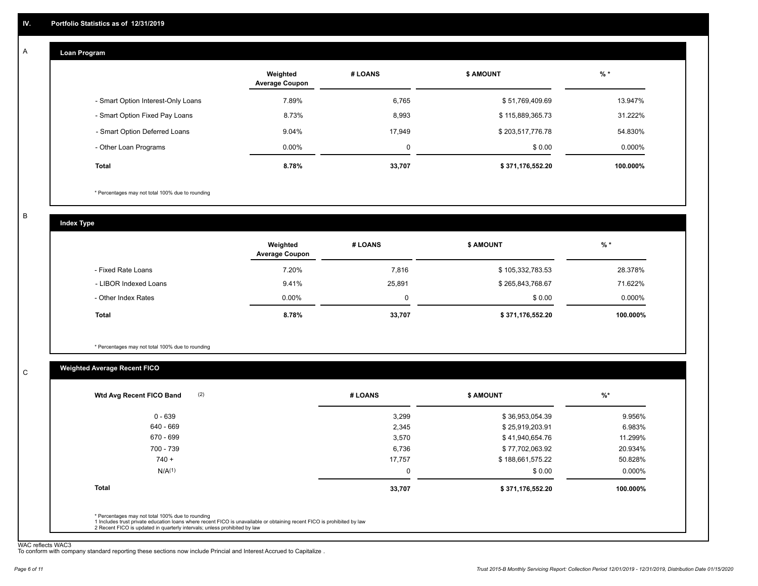#### **Loan Program**  A

|                                    | Weighted<br><b>Average Coupon</b> | # LOANS | <b>\$ AMOUNT</b> | $%$ *    |
|------------------------------------|-----------------------------------|---------|------------------|----------|
| - Smart Option Interest-Only Loans | 7.89%                             | 6,765   | \$51,769,409.69  | 13.947%  |
| - Smart Option Fixed Pay Loans     | 8.73%                             | 8,993   | \$115,889,365.73 | 31.222%  |
| - Smart Option Deferred Loans      | 9.04%                             | 17.949  | \$203,517,776.78 | 54.830%  |
| - Other Loan Programs              | $0.00\%$                          | 0       | \$0.00           | 0.000%   |
| <b>Total</b>                       | 8.78%                             | 33,707  | \$371,176,552.20 | 100.000% |

\* Percentages may not total 100% due to rounding

B

C

**Index Type**

|                       | Weighted<br><b>Average Coupon</b> | # LOANS | <b>\$ AMOUNT</b> | $%$ *    |
|-----------------------|-----------------------------------|---------|------------------|----------|
| - Fixed Rate Loans    | 7.20%                             | 7,816   | \$105,332,783.53 | 28.378%  |
| - LIBOR Indexed Loans | 9.41%                             | 25,891  | \$265,843,768.67 | 71.622%  |
| - Other Index Rates   | $0.00\%$                          |         | \$0.00           | 0.000%   |
| Total                 | 8.78%                             | 33,707  | \$371,176,552.20 | 100.000% |

\* Percentages may not total 100% due to rounding

# **Weighted Average Recent FICO**

| $0 - 639$          |        |                  |           |
|--------------------|--------|------------------|-----------|
|                    | 3,299  | \$36,953,054.39  | 9.956%    |
| 640 - 669          | 2,345  | \$25,919,203.91  | 6.983%    |
| 670 - 699          | 3,570  | \$41,940,654.76  | 11.299%   |
| 700 - 739          | 6,736  | \$77,702,063.92  | 20.934%   |
| $740 +$            | 17,757 | \$188,661,575.22 | 50.828%   |
| N/A <sup>(1)</sup> | 0      | \$0.00           | $0.000\%$ |
| <b>Total</b>       | 33,707 | \$371,176,552.20 | 100.000%  |

WAC reflects WAC3 To conform with company standard reporting these sections now include Princial and Interest Accrued to Capitalize .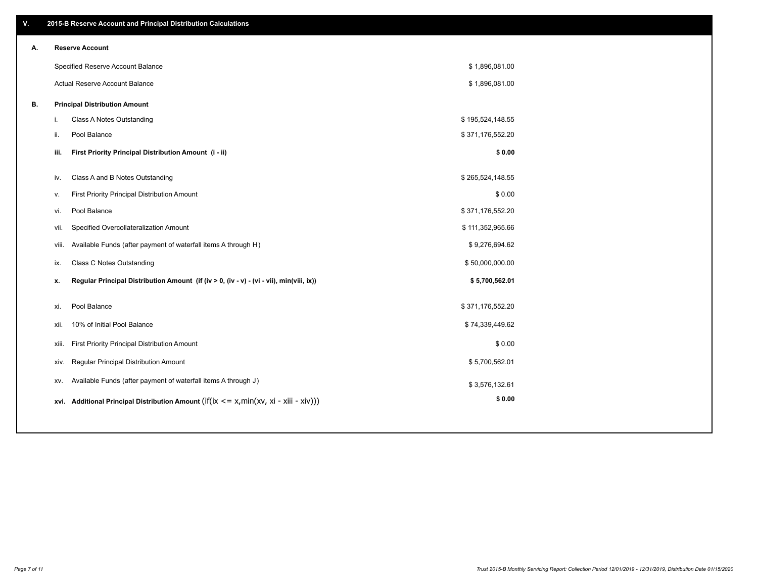| V. |       | 2015-B Reserve Account and Principal Distribution Calculations                             |                  |  |
|----|-------|--------------------------------------------------------------------------------------------|------------------|--|
| А. |       | <b>Reserve Account</b>                                                                     |                  |  |
|    |       | Specified Reserve Account Balance                                                          | \$1,896,081.00   |  |
|    |       | Actual Reserve Account Balance                                                             | \$1,896,081.00   |  |
| В. |       | <b>Principal Distribution Amount</b>                                                       |                  |  |
|    | j.    | Class A Notes Outstanding                                                                  | \$195,524,148.55 |  |
|    | ii.   | Pool Balance                                                                               | \$371,176,552.20 |  |
|    | iii.  | First Priority Principal Distribution Amount (i - ii)                                      | \$0.00           |  |
|    |       |                                                                                            |                  |  |
|    | iv.   | Class A and B Notes Outstanding                                                            | \$265,524,148.55 |  |
|    | v.    | First Priority Principal Distribution Amount                                               | \$0.00           |  |
|    | vi.   | Pool Balance                                                                               | \$371,176,552.20 |  |
|    | vii.  | Specified Overcollateralization Amount                                                     | \$111,352,965.66 |  |
|    | viii. | Available Funds (after payment of waterfall items A through H)                             | \$9,276,694.62   |  |
|    | ix.   | <b>Class C Notes Outstanding</b>                                                           | \$50,000,000.00  |  |
|    | x.    | Regular Principal Distribution Amount (if (iv > 0, (iv - v) - (vi - vii), min(viii, ix))   | \$5,700,562.01   |  |
|    | xi.   | Pool Balance                                                                               | \$371,176,552.20 |  |
|    |       |                                                                                            |                  |  |
|    | xii.  | 10% of Initial Pool Balance                                                                | \$74,339,449.62  |  |
|    | xiii. | First Priority Principal Distribution Amount                                               | \$0.00           |  |
|    | XIV.  | Regular Principal Distribution Amount                                                      | \$5,700,562.01   |  |
|    | XV.   | Available Funds (after payment of waterfall items A through J)                             | \$3,576,132.61   |  |
|    |       | xvi. Additional Principal Distribution Amount (if(ix $\lt$ = x, min(xv, xi - xiii - xiv))) | \$0.00           |  |
|    |       |                                                                                            |                  |  |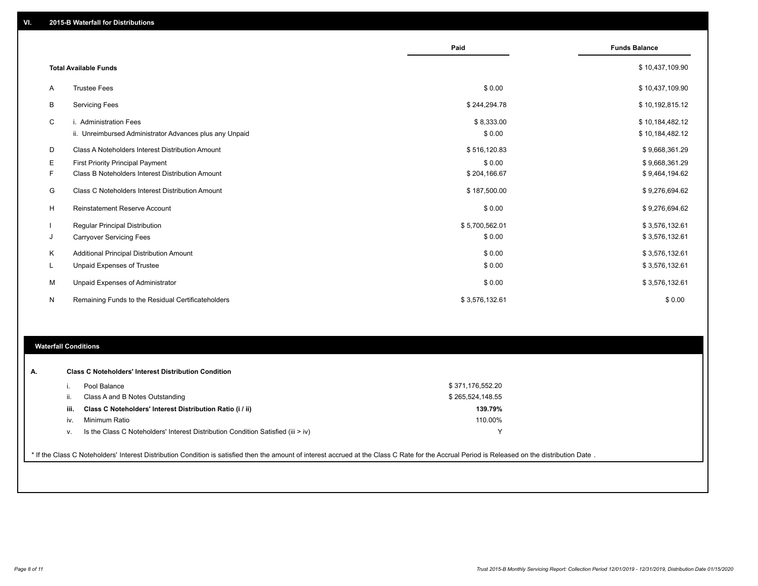|   |                                                         | Paid           | <b>Funds Balance</b> |
|---|---------------------------------------------------------|----------------|----------------------|
|   | <b>Total Available Funds</b>                            |                | \$10,437,109.90      |
| A | <b>Trustee Fees</b>                                     | \$0.00         | \$10,437,109.90      |
| В | <b>Servicing Fees</b>                                   | \$244,294.78   | \$10,192,815.12      |
| C | i. Administration Fees                                  | \$8,333.00     | \$10,184,482.12      |
|   | ii. Unreimbursed Administrator Advances plus any Unpaid | \$0.00         | \$10,184,482.12      |
| D | Class A Noteholders Interest Distribution Amount        | \$516,120.83   | \$9,668,361.29       |
| Е | <b>First Priority Principal Payment</b>                 | \$0.00         | \$9,668,361.29       |
| F | Class B Noteholders Interest Distribution Amount        | \$204,166.67   | \$9,464,194.62       |
| G | Class C Noteholders Interest Distribution Amount        | \$187,500.00   | \$9,276,694.62       |
| H | Reinstatement Reserve Account                           | \$0.00         | \$9,276,694.62       |
|   | Regular Principal Distribution                          | \$5,700,562.01 | \$3,576,132.61       |
| J | <b>Carryover Servicing Fees</b>                         | \$0.00         | \$3,576,132.61       |
| Κ | Additional Principal Distribution Amount                | \$0.00         | \$3,576,132.61       |
| L | Unpaid Expenses of Trustee                              | \$0.00         | \$3,576,132.61       |
| М | Unpaid Expenses of Administrator                        | \$0.00         | \$3,576,132.61       |
| N | Remaining Funds to the Residual Certificateholders      | \$3,576,132.61 | \$0.00               |

### **Waterfall Conditions**

| А. |                                                                                                                                                                                                 | <b>Class C Noteholders' Interest Distribution Condition</b>                        |                  |  |  |  |  |  |
|----|-------------------------------------------------------------------------------------------------------------------------------------------------------------------------------------------------|------------------------------------------------------------------------------------|------------------|--|--|--|--|--|
|    |                                                                                                                                                                                                 | Pool Balance                                                                       | \$371,176,552.20 |  |  |  |  |  |
|    | Ш.                                                                                                                                                                                              | Class A and B Notes Outstanding                                                    | \$265,524,148.55 |  |  |  |  |  |
|    | iii.                                                                                                                                                                                            | Class C Noteholders' Interest Distribution Ratio (i / ii)                          | 139.79%          |  |  |  |  |  |
|    | iv.                                                                                                                                                                                             | Minimum Ratio                                                                      | 110.00%          |  |  |  |  |  |
|    | v.                                                                                                                                                                                              | Is the Class C Noteholders' Interest Distribution Condition Satisfied (iii $>$ iv) |                  |  |  |  |  |  |
|    |                                                                                                                                                                                                 |                                                                                    |                  |  |  |  |  |  |
|    | * If the Class C Noteholders' Interest Distribution Condition is satisfied then the amount of interest accrued at the Class C Rate for the Accrual Period is Released on the distribution Date. |                                                                                    |                  |  |  |  |  |  |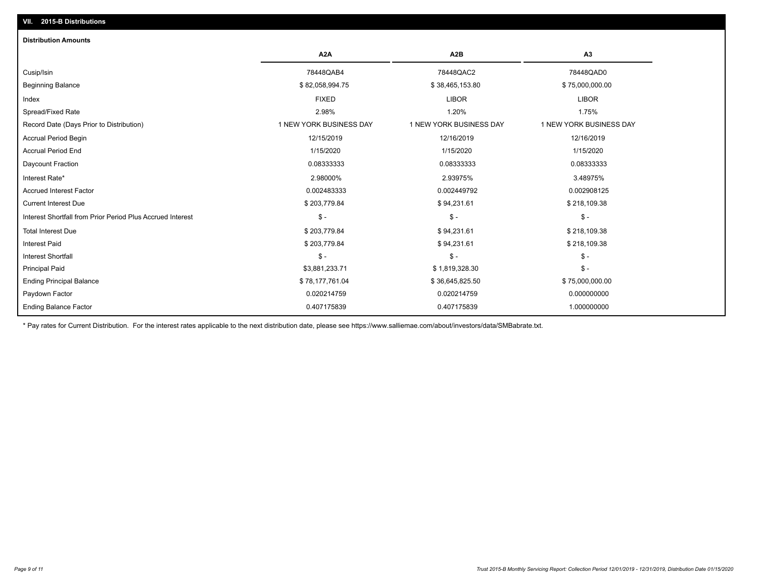| <b>Distribution Amounts</b>                                |                         |                         |                         |
|------------------------------------------------------------|-------------------------|-------------------------|-------------------------|
|                                                            | A <sub>2</sub> A        | A2B                     | A3                      |
| Cusip/Isin                                                 | 78448QAB4               | 78448QAC2               | 78448QAD0               |
| <b>Beginning Balance</b>                                   | \$82,058,994.75         | \$38,465,153.80         | \$75,000,000.00         |
| Index                                                      | <b>FIXED</b>            | <b>LIBOR</b>            | <b>LIBOR</b>            |
| Spread/Fixed Rate                                          | 2.98%                   | 1.20%                   | 1.75%                   |
| Record Date (Days Prior to Distribution)                   | 1 NEW YORK BUSINESS DAY | 1 NEW YORK BUSINESS DAY | 1 NEW YORK BUSINESS DAY |
| <b>Accrual Period Begin</b>                                | 12/15/2019              | 12/16/2019              | 12/16/2019              |
| <b>Accrual Period End</b>                                  | 1/15/2020               | 1/15/2020               | 1/15/2020               |
| Daycount Fraction                                          | 0.08333333              | 0.08333333              | 0.08333333              |
| Interest Rate*                                             | 2.98000%                | 2.93975%                | 3.48975%                |
| <b>Accrued Interest Factor</b>                             | 0.002483333             | 0.002449792             | 0.002908125             |
| <b>Current Interest Due</b>                                | \$203,779.84            | \$94,231.61             | \$218,109.38            |
| Interest Shortfall from Prior Period Plus Accrued Interest | $\mathsf{\$}$ -         | $\mathsf{\$}$ -         | $\mathsf{\$}$ -         |
| <b>Total Interest Due</b>                                  | \$203,779.84            | \$94,231.61             | \$218,109.38            |
| <b>Interest Paid</b>                                       | \$203,779.84            | \$94,231.61             | \$218,109.38            |
| <b>Interest Shortfall</b>                                  | $\frac{1}{2}$           | $\mathcal{S}$ -         | $$ -$                   |
| <b>Principal Paid</b>                                      | \$3,881,233.71          | \$1,819,328.30          | $\mathsf{\$}$ -         |
| <b>Ending Principal Balance</b>                            | \$78,177,761.04         | \$36,645,825.50         | \$75,000,000.00         |
| Paydown Factor                                             | 0.020214759             | 0.020214759             | 0.000000000             |
| <b>Ending Balance Factor</b>                               | 0.407175839             | 0.407175839             | 1.000000000             |

\* Pay rates for Current Distribution. For the interest rates applicable to the next distribution date, please see https://www.salliemae.com/about/investors/data/SMBabrate.txt.

**VII. 2015-B Distributions**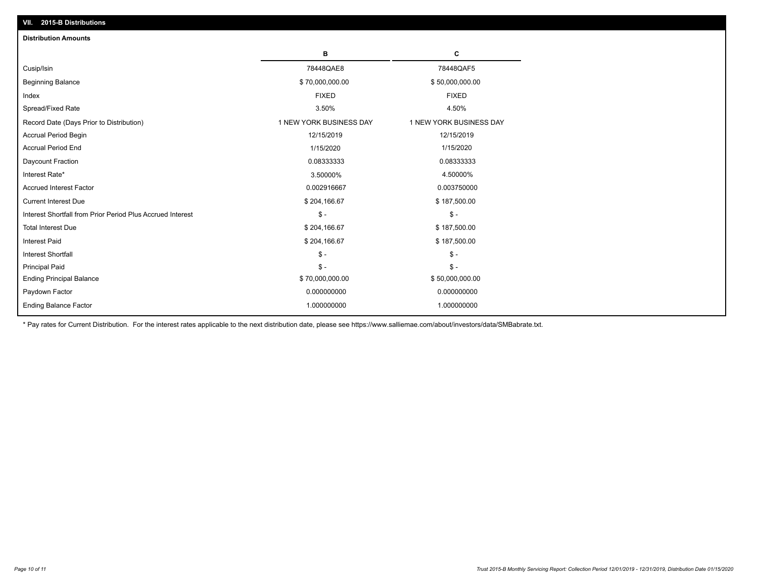| <b>Distribution Amounts</b>                                |                         |                         |
|------------------------------------------------------------|-------------------------|-------------------------|
|                                                            | в                       | C                       |
| Cusip/Isin                                                 | 78448QAE8               | 78448QAF5               |
| <b>Beginning Balance</b>                                   | \$70,000,000.00         | \$50,000,000.00         |
| Index                                                      | <b>FIXED</b>            | <b>FIXED</b>            |
| Spread/Fixed Rate                                          | 3.50%                   | 4.50%                   |
| Record Date (Days Prior to Distribution)                   | 1 NEW YORK BUSINESS DAY | 1 NEW YORK BUSINESS DAY |
| <b>Accrual Period Begin</b>                                | 12/15/2019              | 12/15/2019              |
| <b>Accrual Period End</b>                                  | 1/15/2020               | 1/15/2020               |
| Daycount Fraction                                          | 0.08333333              | 0.08333333              |
| Interest Rate*                                             | 3.50000%                | 4.50000%                |
| <b>Accrued Interest Factor</b>                             | 0.002916667             | 0.003750000             |
| <b>Current Interest Due</b>                                | \$204,166.67            | \$187,500.00            |
| Interest Shortfall from Prior Period Plus Accrued Interest | $\mathsf{\$}$ -         | $\frac{1}{2}$           |
| <b>Total Interest Due</b>                                  | \$204,166.67            | \$187,500.00            |
| Interest Paid                                              | \$204,166.67            | \$187,500.00            |
| <b>Interest Shortfall</b>                                  | $\mathsf{\$}$ -         | $\frac{1}{2}$           |
| <b>Principal Paid</b>                                      | $\mathsf{\$}$ -         | $\mathsf{\$}$ -         |
| <b>Ending Principal Balance</b>                            | \$70,000,000.00         | \$50,000,000.00         |
| Paydown Factor                                             | 0.000000000             | 0.000000000             |
| <b>Ending Balance Factor</b>                               | 1.000000000             | 1.000000000             |

\* Pay rates for Current Distribution. For the interest rates applicable to the next distribution date, please see https://www.salliemae.com/about/investors/data/SMBabrate.txt.

**VII. 2015-B Distributions**